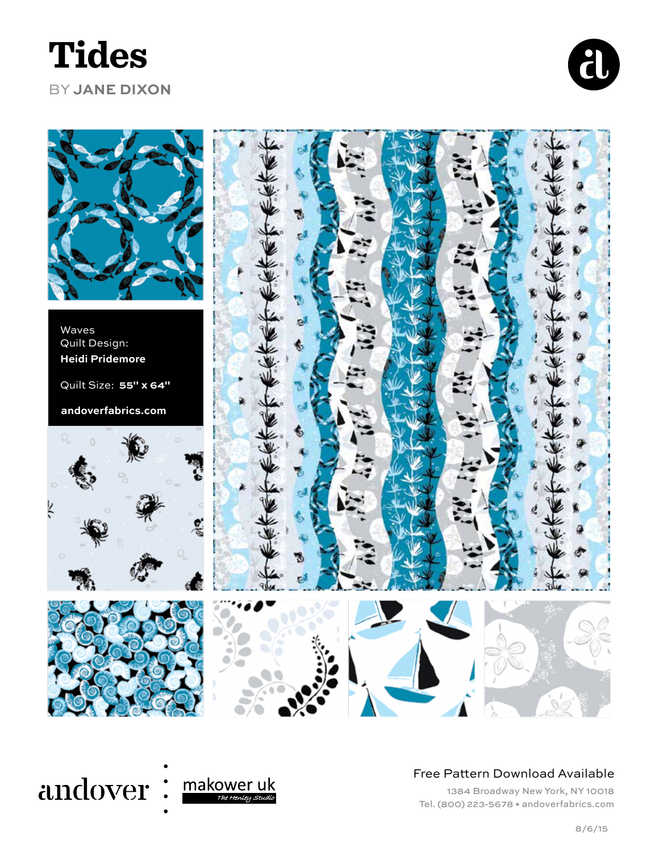# **Tides**

### BY **JANE DIXON**





#### andover: <u>makower uk</u> The Henley Studio

#### Free Pattern Download Available

1384 Broadway New York, NY 10018 Tel. (800) 223-5678 • andoverfabrics.com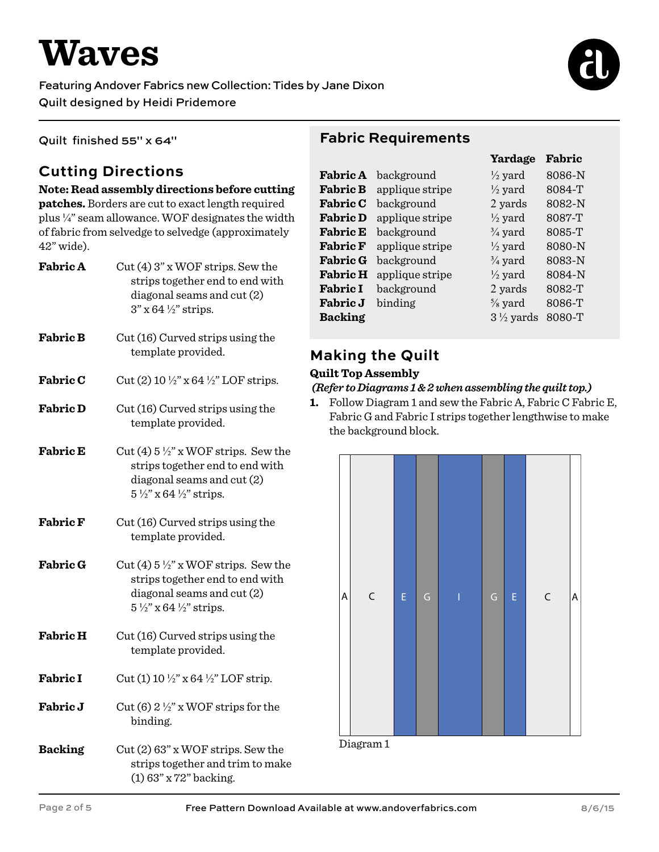# **Waves**

#### Featuring Andover Fabrics new Collection: Tides by Jane Dixon Quilt designed by Heidi Pridemore



Quilt finished 55" x 64"

# **Cutting Directions**

42" wide).

#### **Note: Read assembly directions before cutting patches.** Borders are cut to exact length required plus ¼" seam allowance. WOF designates the width of fabric from selvedge to selvedge (approximately

| <b>Fabric A</b> | Cut (4) 3" x WOF strips. Sew the<br>strips together end to end with<br>diagonal seams and cut (2)<br>$3"$ x 64 $\frac{1}{2}$ " strips.                           |  |
|-----------------|------------------------------------------------------------------------------------------------------------------------------------------------------------------|--|
| <b>Fabric B</b> | Cut (16) Curved strips using the<br>template provided.                                                                                                           |  |
| <b>Fabric C</b> | Cut (2) 10 $\frac{1}{2}$ " x 64 $\frac{1}{2}$ " LOF strips.                                                                                                      |  |
| <b>Fabric D</b> | Cut (16) Curved strips using the<br>template provided.                                                                                                           |  |
| <b>Fabric E</b> | Cut (4) $5\frac{1}{2}$ " x WOF strips. Sew the<br>strips together end to end with<br>diagonal seams and cut (2)<br>$5\frac{1}{2}$ " x 64 $\frac{1}{2}$ " strips. |  |
| <b>Fabric F</b> | Cut (16) Curved strips using the<br>template provided.                                                                                                           |  |
| <b>Fabric G</b> | Cut (4) $5\frac{1}{2}$ " x WOF strips. Sew the<br>strips together end to end with<br>diagonal seams and cut (2)<br>$5\frac{1}{2}$ " x 64 $\frac{1}{2}$ " strips. |  |
| <b>Fabric H</b> | Cut (16) Curved strips using the<br>template provided.                                                                                                           |  |
| <b>Fabric I</b> | Cut (1) 10 $\frac{1}{2}$ " x 64 $\frac{1}{2}$ " LOF strip.                                                                                                       |  |
| Fabric J        | Cut (6) $2\frac{1}{2}$ " x WOF strips for the<br>binding.                                                                                                        |  |
| <b>Backing</b>  | $Cut(2)$ 63" x WOF strips. Sew the<br>strips together and trim to make<br>$(1)$ 63" x 72" backing.                                                               |  |

### **Fabric Requirements**

|                 |                     | Yardage              | Fabric |
|-----------------|---------------------|----------------------|--------|
|                 | Fabric A background | $\frac{1}{2}$ yard   | 8086-N |
| <b>Fabric B</b> | applique stripe     | $\frac{1}{2}$ yard   | 8084-T |
| <b>Fabric C</b> | background          | 2 yards              | 8082-N |
| <b>Fabric D</b> | applique stripe     | $\frac{1}{2}$ yard   | 8087-T |
| <b>Fabric E</b> | background          | $\frac{3}{4}$ yard   | 8085-T |
| <b>Fabric F</b> | applique stripe     | $\frac{1}{2}$ yard   | 8080-N |
| <b>Fabric G</b> | background          | $\frac{3}{4}$ yard   | 8083-N |
| <b>Fabric H</b> | applique stripe     | $\frac{1}{2}$ yard   | 8084-N |
| <b>Fabric I</b> | background          | 2 yards              | 8082-T |
| <b>Fabric J</b> | binding             | $\frac{5}{8}$ yard   | 8086-T |
| <b>Backing</b>  |                     | $3\frac{1}{2}$ yards | 8080-T |

### **Making the Quilt**

#### **Quilt Top Assembly**

#### *(Refer to Diagrams 1 & 2 when assembling the quilt top.)*

**1.** Follow Diagram 1 and sew the Fabric A, Fabric C Fabric E, Fabric G and Fabric I strips together lengthwise to make the background block.



Diagram 1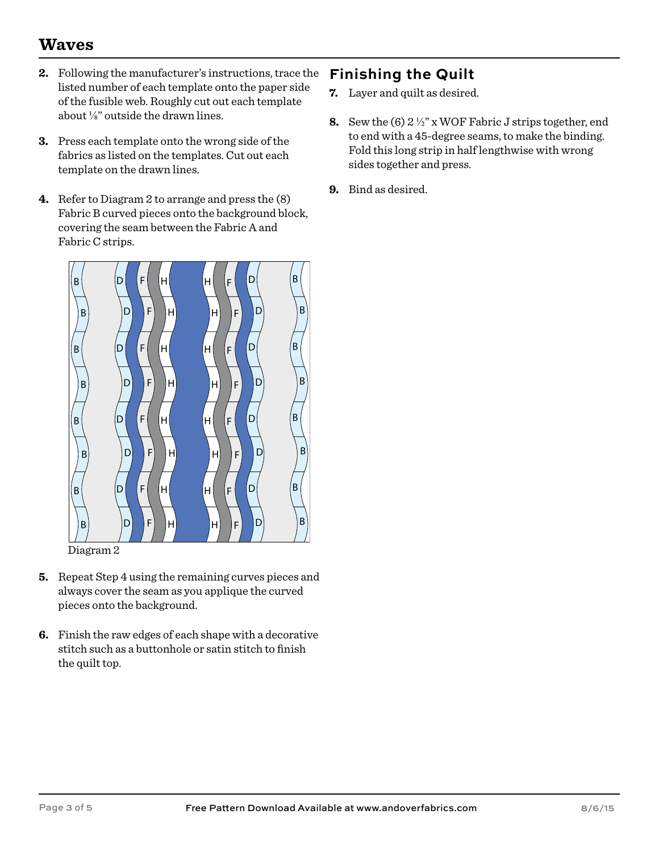# **Waves**

- **2.** Following the manufacturer's instructions, trace the listed number of each template onto the paper side of the fusible web. Roughly cut out each template about ⅛" outside the drawn lines.
- **3.** Press each template onto the wrong side of the fabrics as listed on the templates. Cut out each template on the drawn lines.
- **4.** Refer to Diagram 2 to arrange and press the (8) Fabric B curved pieces onto the background block, covering the seam between the Fabric A and Fabric C strips.



Diagram 2

- **5.** Repeat Step 4 using the remaining curves pieces and always cover the seam as you applique the curved pieces onto the background.
- **6.** Finish the raw edges of each shape with a decorative stitch such as a buttonhole or satin stitch to finish the quilt top.

## **Finishing the Quilt**

- **7.** Layer and quilt as desired.
- **8.** Sew the (6) 2 ½" x WOF Fabric J strips together, end to end with a 45-degree seams, to make the binding. Fold this long strip in half lengthwise with wrong sides together and press.
- **9.** Bind as desired.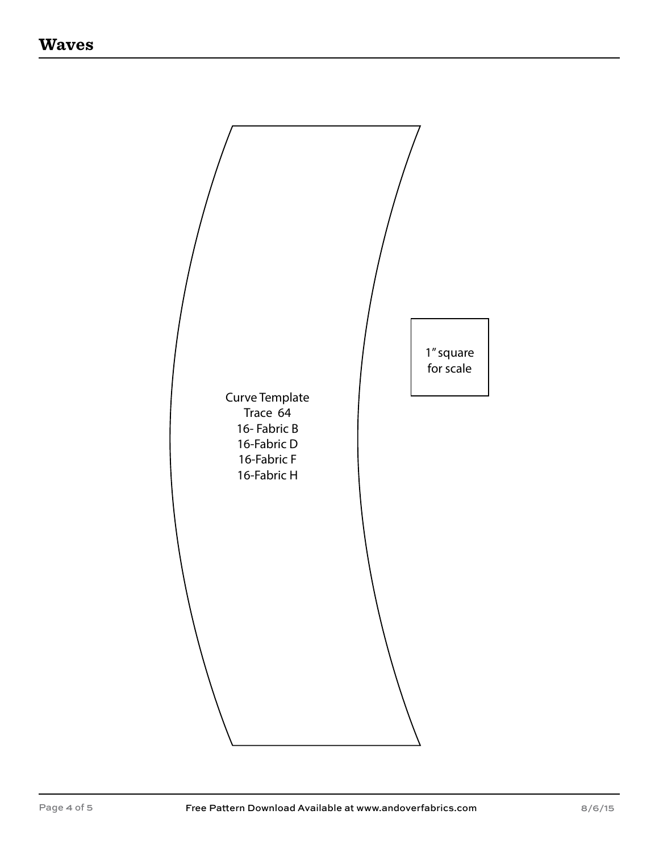